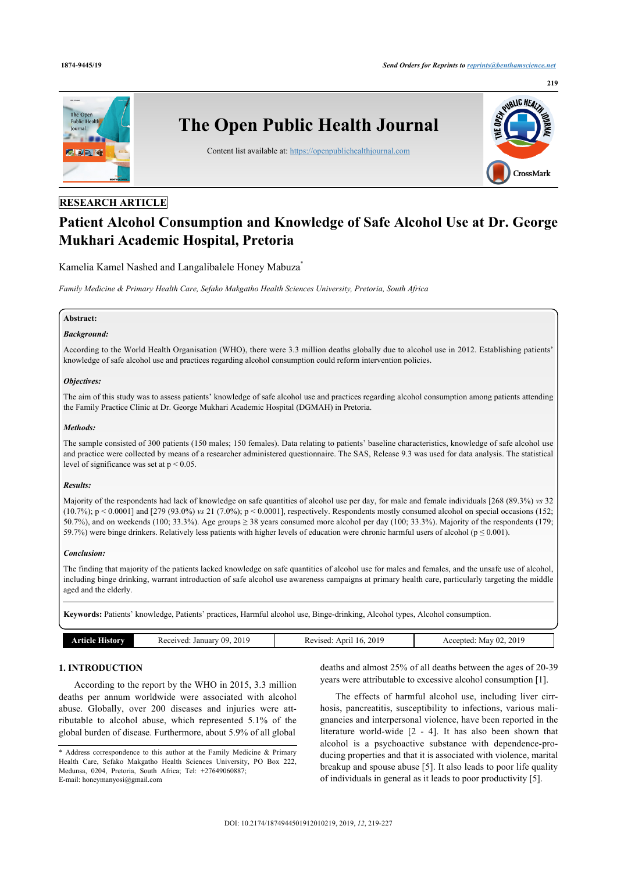

## **RESEARCH ARTICLE**

# **Patient Alcohol Consumption and Knowledge of Safe Alcohol Use at Dr. George Mukhari Academic Hospital, Pretoria**

Kamelia Kamel Nashed and Langalibalele Honey Mabuza[\\*](#page-0-0)

*Family Medicine & Primary Health Care, Sefako Makgatho Health Sciences University, Pretoria, South Africa*

## **Abstract:**

## *Background:*

According to the World Health Organisation (WHO), there were 3.3 million deaths globally due to alcohol use in 2012. Establishing patients' knowledge of safe alcohol use and practices regarding alcohol consumption could reform intervention policies.

### *Objectives:*

The aim of this study was to assess patients' knowledge of safe alcohol use and practices regarding alcohol consumption among patients attending the Family Practice Clinic at Dr. George Mukhari Academic Hospital (DGMAH) in Pretoria.

## *Methods:*

The sample consisted of 300 patients (150 males; 150 females). Data relating to patients' baseline characteristics, knowledge of safe alcohol use and practice were collected by means of a researcher administered questionnaire. The SAS, Release 9.3 was used for data analysis. The statistical level of significance was set at  $p < 0.05$ .

### *Results:*

Majority of the respondents had lack of knowledge on safe quantities of alcohol use per day, for male and female individuals [268 (89.3%) *vs* 32  $(10.7\%)$ ;  $p < 0.0001$ ] and [279 (93.0%) *vs* 21 (7.0%);  $p < 0.0001$ ], respectively. Respondents mostly consumed alcohol on special occasions (152; 50.7%), and on weekends (100; 33.3%). Age groups  $\geq$  38 years consumed more alcohol per day (100; 33.3%). Majority of the respondents (179; 59.7%) were binge drinkers. Relatively less patients with higher levels of education were chronic harmful users of alcohol ( $p \le 0.001$ ).

### *Conclusion:*

The finding that majority of the patients lacked knowledge on safe quantities of alcohol use for males and females, and the unsafe use of alcohol, including binge drinking, warrant introduction of safe alcohol use awareness campaigns at primary health care, particularly targeting the middle aged and the elderly.

**Keywords:** Patients' knowledge, Patients' practices, Harmful alcohol use, Binge-drinking, Alcohol types, Alcohol consumption.

| <b>Article History</b> | . 2019<br>. January 09.<br>Received: | 2019<br>Revised:<br>Anril<br>-16. | May 02, 2019<br>Accepted: |
|------------------------|--------------------------------------|-----------------------------------|---------------------------|
|                        |                                      |                                   |                           |

## **1. INTRODUCTION**

According to the report by the WHO in 2015, 3.3 million deaths per annum worldwide were associated with alcohol abuse. Globally, over 200 diseases and injuries were attributable to alcohol abuse, which represented 5.1% of the global burden of disease. Furthermore, about 5.9% of all global

deaths and almost 25% of all deaths between the ages of 20-39 years were attributable to excessive alcohol consumption [[1](#page-7-0)].

The effects of harmful alcohol use, including liver cirrhosis, pancreatitis, susceptibility to infections, various malignancies and interpersonal violence, have been reported in the literature world-wide[[2](#page-7-1) - [4](#page-7-2)]. It has also been shown that alcohol is a psychoactive substance with dependence-producing properties and that it is associated with violence, marital breakup and spouse abuse [\[5\]](#page-7-3). It also leads to poor life quality of individuals in general as it leads to poor productivity [[5](#page-7-3)].

<span id="page-0-0"></span><sup>\*</sup> Address correspondence to this author at the Family Medicine & Primary Health Care, Sefako Makgatho Health Sciences University, PO Box 222, Medunsa, 0204, Pretoria, South Africa; Tel: +27649060887; E-mail: [honeymanyosi@gmail.com](mailto:honeymanyosi@gmail.com)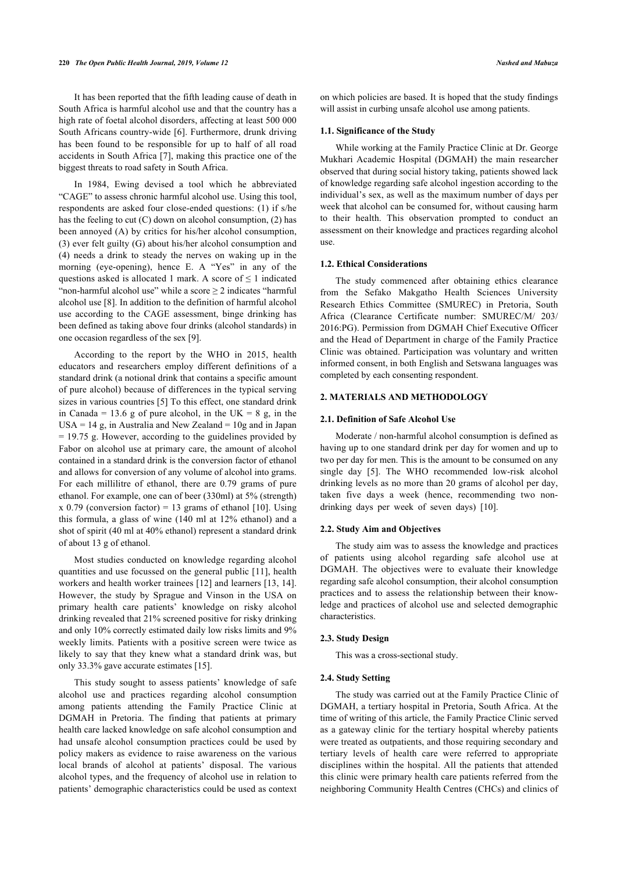It has been reported that the fifth leading cause of death in South Africa is harmful alcohol use and that the country has a high rate of foetal alcohol disorders, affecting at least 500 000 South Africans country-wide [[6\]](#page-7-4). Furthermore, drunk driving has been found to be responsible for up to half of all road accidents in South Africa [\[7\]](#page-7-5), making this practice one of the biggest threats to road safety in South Africa.

In 1984, Ewing devised a tool which he abbreviated "CAGE" to assess chronic harmful alcohol use. Using this tool, respondents are asked four close-ended questions: (1) if s/he has the feeling to cut (C) down on alcohol consumption, (2) has been annoyed (A) by critics for his/her alcohol consumption, (3) ever felt guilty (G) about his/her alcohol consumption and (4) needs a drink to steady the nerves on waking up in the morning (eye-opening), hence E. A "Yes" in any of the questions asked is allocated 1 mark. A score of  $\leq 1$  indicated "non-harmful alcohol use" while a score  $\geq 2$  indicates "harmful alcohol use [\[8\]](#page-7-6). In addition to the definition of harmful alcohol use according to the CAGE assessment, binge drinking has been defined as taking above four drinks (alcohol standards) in one occasion regardless of the sex [[9](#page-7-7)].

According to the report by the WHO in 2015, health educators and researchers employ different definitions of a standard drink (a notional drink that contains a specific amount of pure alcohol) because of differences in the typical serving sizes in various countries [[5](#page-7-3)] To this effect, one standard drink in Canada = 13.6 g of pure alcohol, in the UK = 8 g, in the  $USA = 14$  g, in Australia and New Zealand = 10g and in Japan = 19.75 g. However, according to the guidelines provided by Fabor on alcohol use at primary care, the amount of alcohol contained in a standard drink is the conversion factor of ethanol and allows for conversion of any volume of alcohol into grams. For each millilitre of ethanol, there are 0.79 grams of pure ethanol. For example, one can of beer (330ml) at 5% (strength)  $x$  0.79 (conversion factor) = 13 grams of ethanol [[10](#page-7-8)]. Using this formula, a glass of wine (140 ml at 12% ethanol) and a shot of spirit (40 ml at 40% ethanol) represent a standard drink of about 13 g of ethanol.

Most studies conducted on knowledge regarding alcohol quantities and use focussed on the general public [\[11\]](#page-7-9), health workers and health worker trainees [\[12\]](#page-7-10) and learners [[13,](#page-7-11) [14\]](#page-7-12). However, the study by Sprague and Vinson in the USA on primary health care patients' knowledge on risky alcohol drinking revealed that 21% screened positive for risky drinking and only 10% correctly estimated daily low risks limits and 9% weekly limits. Patients with a positive screen were twice as likely to say that they knew what a standard drink was, but only 33.3% gave accurate estimates [[15\]](#page-7-13).

This study sought to assess patients' knowledge of safe alcohol use and practices regarding alcohol consumption among patients attending the Family Practice Clinic at DGMAH in Pretoria. The finding that patients at primary health care lacked knowledge on safe alcohol consumption and had unsafe alcohol consumption practices could be used by policy makers as evidence to raise awareness on the various local brands of alcohol at patients' disposal. The various alcohol types, and the frequency of alcohol use in relation to patients' demographic characteristics could be used as context on which policies are based. It is hoped that the study findings will assist in curbing unsafe alcohol use among patients.

## **1.1. Significance of the Study**

While working at the Family Practice Clinic at Dr. George Mukhari Academic Hospital (DGMAH) the main researcher observed that during social history taking, patients showed lack of knowledge regarding safe alcohol ingestion according to the individual's sex, as well as the maximum number of days per week that alcohol can be consumed for, without causing harm to their health. This observation prompted to conduct an assessment on their knowledge and practices regarding alcohol use.

#### **1.2. Ethical Considerations**

The study commenced after obtaining ethics clearance from the Sefako Makgatho Health Sciences University Research Ethics Committee (SMUREC) in Pretoria, South Africa (Clearance Certificate number: SMUREC/M/ 203/ 2016:PG). Permission from DGMAH Chief Executive Officer and the Head of Department in charge of the Family Practice Clinic was obtained. Participation was voluntary and written informed consent, in both English and Setswana languages was completed by each consenting respondent.

## **2. MATERIALS AND METHODOLOGY**

### **2.1. Definition of Safe Alcohol Use**

Moderate / non-harmful alcohol consumption is defined as having up to one standard drink per day for women and up to two per day for men. This is the amount to be consumed on any single day [\[5](#page-7-3)]. The WHO recommended low-risk alcohol drinking levels as no more than 20 grams of alcohol per day, taken five days a week (hence, recommending two nondrinking days per week of seven days)[[10\]](#page-7-8).

## **2.2. Study Aim and Objectives**

The study aim was to assess the knowledge and practices of patients using alcohol regarding safe alcohol use at DGMAH. The objectives were to evaluate their knowledge regarding safe alcohol consumption, their alcohol consumption practices and to assess the relationship between their knowledge and practices of alcohol use and selected demographic characteristics.

#### **2.3. Study Design**

This was a cross-sectional study.

## **2.4. Study Setting**

The study was carried out at the Family Practice Clinic of DGMAH, a tertiary hospital in Pretoria, South Africa. At the time of writing of this article, the Family Practice Clinic served as a gateway clinic for the tertiary hospital whereby patients were treated as outpatients, and those requiring secondary and tertiary levels of health care were referred to appropriate disciplines within the hospital. All the patients that attended this clinic were primary health care patients referred from the neighboring Community Health Centres (CHCs) and clinics of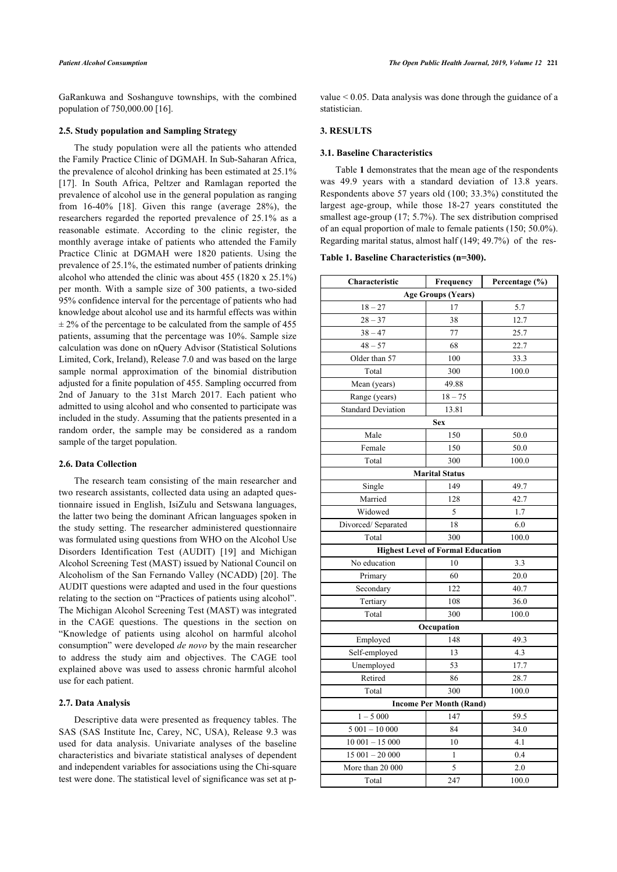GaRankuwa and Soshanguve townships, with the combined population of 750,000.00 [[16\]](#page-7-14).

## **2.5. Study population and Sampling Strategy**

<span id="page-2-0"></span>The study population were all the patients who attended the Family Practice Clinic of DGMAH. In Sub-Saharan Africa, the prevalence of alcohol drinking has been estimated at 25.1% [[17\]](#page-7-15). In South Africa, Peltzer and Ramlagan reported the prevalence of alcohol use in the general population as ranging from 16-40%[[18\]](#page-7-16). Given this range (average 28%), the researchers regarded the reported prevalence of 25.1% as a reasonable estimate. According to the clinic register, the monthly average intake of patients who attended the Family Practice Clinic at DGMAH were 1820 patients. Using the prevalence of 25.1%, the estimated number of patients drinking alcohol who attended the clinic was about 455 (1820 x 25.1%) per month. With a sample size of 300 patients, a two-sided 95% confidence interval for the percentage of patients who had knowledge about alcohol use and its harmful effects was within  $\pm$  2% of the percentage to be calculated from the sample of 455 patients, assuming that the percentage was 10%. Sample size calculation was done on nQuery Advisor (Statistical Solutions Limited, Cork, Ireland), Release 7.0 and was based on the large sample normal approximation of the binomial distribution adjusted for a finite population of 455. Sampling occurred from 2nd of January to the 31st March 2017. Each patient who admitted to using alcohol and who consented to participate was included in the study. Assuming that the patients presented in a random order, the sample may be considered as a random sample of the target population.

#### **2.6. Data Collection**

The research team consisting of the main researcher and two research assistants, collected data using an adapted questionnaire issued in English, IsiZulu and Setswana languages, the latter two being the dominant African languages spoken in the study setting. The researcher administered questionnaire was formulated using questions from WHO on the Alcohol Use Disorders Identification Test (AUDIT)[[19\]](#page-7-17) and Michigan Alcohol Screening Test (MAST) issued by National Council on Alcoholism of the San Fernando Valley (NCADD) [\[20\]](#page-7-18). The AUDIT questions were adapted and used in the four questions relating to the section on "Practices of patients using alcohol". The Michigan Alcohol Screening Test (MAST) was integrated in the CAGE questions. The questions in the section on "Knowledge of patients using alcohol on harmful alcohol consumption" were developed *de novo* by the main researcher to address the study aim and objectives. The CAGE tool explained above was used to assess chronic harmful alcohol use for each patient.

#### **2.7. Data Analysis**

<span id="page-2-1"></span>Descriptive data were presented as frequency tables. The SAS (SAS Institute Inc, Carey, NC, USA), Release 9.3 was used for data analysis. Univariate analyses of the baseline characteristics and bivariate statistical analyses of dependent and independent variables for associations using the Chi-square test were done. The statistical level of significance was set at pvalue < 0.05. Data analysis was done through the guidance of a statistician.

## **3. RESULTS**

### **3.1. Baseline Characteristics**

Table **[1](#page-2-0)** demonstrates that the mean age of the respondents was 49.9 years with a standard deviation of 13.8 years. Respondents above 57 years old (100; 33.3%) constituted the largest age-group, while those 18-27 years constituted the smallest age-group (17; 5.7%). The sex distribution comprised of an equal proportion of male to female patients (150; 50.0%). Regarding marital status, almost half (149; 49.7%) of the res-

### **Table 1. Baseline Characteristics (n=300).**

| Characteristic                 | Frequency                                | Percentage (%) |  |  |  |  |  |
|--------------------------------|------------------------------------------|----------------|--|--|--|--|--|
| <b>Age Groups (Years)</b>      |                                          |                |  |  |  |  |  |
| $18 - 27$                      | 17                                       | 5.7            |  |  |  |  |  |
| $28 - 37$                      | 38                                       | 12.7           |  |  |  |  |  |
| $38 - 47$                      | 77                                       | 25.7           |  |  |  |  |  |
| $48 - 57$                      | 68                                       | 22.7           |  |  |  |  |  |
| Older than 57                  | 100                                      | 33.3           |  |  |  |  |  |
| Total                          | 300                                      | 100.0          |  |  |  |  |  |
| Mean (years)                   | 49.88                                    |                |  |  |  |  |  |
| Range (years)                  | $18 - 75$                                |                |  |  |  |  |  |
| <b>Standard Deviation</b>      | 13.81                                    |                |  |  |  |  |  |
|                                | <b>Sex</b>                               |                |  |  |  |  |  |
| Male                           | 150                                      | 50.0           |  |  |  |  |  |
| Female                         | 150                                      | 50.0           |  |  |  |  |  |
| Total                          | 300                                      | 100.0          |  |  |  |  |  |
|                                | <b>Marital Status</b>                    |                |  |  |  |  |  |
| Single                         | 149                                      | 49.7           |  |  |  |  |  |
| Married                        | 128                                      | 42.7           |  |  |  |  |  |
| Widowed                        | 5                                        | 1.7            |  |  |  |  |  |
| Divorced/Separated             | 18                                       | 6.0            |  |  |  |  |  |
| Total                          | 300                                      | 100.0          |  |  |  |  |  |
|                                | <b>Highest Level of Formal Education</b> |                |  |  |  |  |  |
| No education                   | 10                                       | 3.3            |  |  |  |  |  |
| Primary                        | 60                                       | 20.0           |  |  |  |  |  |
| Secondary                      | 122                                      | 40.7           |  |  |  |  |  |
| Tertiary                       | 108                                      | 36.0           |  |  |  |  |  |
| Total                          | 300                                      | 100.0          |  |  |  |  |  |
|                                | Occupation                               |                |  |  |  |  |  |
| Employed                       | 148                                      | 49.3           |  |  |  |  |  |
| Self-employed                  | 13                                       | 4.3            |  |  |  |  |  |
| Unemployed                     | 53                                       | 17.7           |  |  |  |  |  |
| Retired                        | 86                                       | 28.7           |  |  |  |  |  |
| Total                          | 300                                      | 100.0          |  |  |  |  |  |
| <b>Income Per Month (Rand)</b> |                                          |                |  |  |  |  |  |
| $1 - 5000$                     | 147                                      | 59.5           |  |  |  |  |  |
| $5001 - 10000$                 | 84                                       | 34.0           |  |  |  |  |  |
| $10001 - 15000$                | 10                                       | 4.1            |  |  |  |  |  |
| $15001 - 20000$                | 1                                        | 0.4            |  |  |  |  |  |
| More than 20 000               | 5                                        | 2.0            |  |  |  |  |  |
| Total                          | 247                                      | 100.0          |  |  |  |  |  |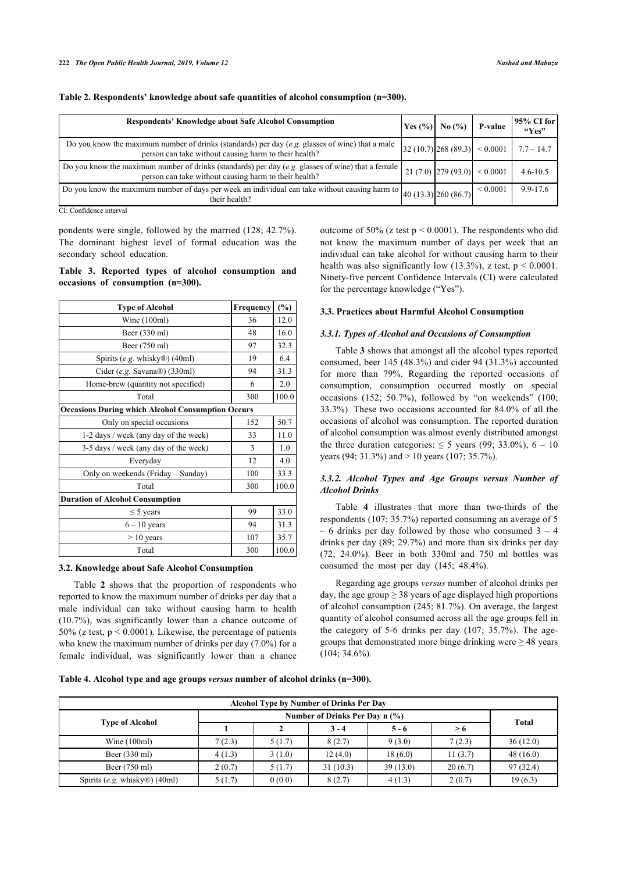| <b>Respondents' Knowledge about Safe Alcohol Consumption</b>                                                                                               | $\text{Yes } (% )$ | No $(%$               | <b>P-value</b>                                                         | 95% CI for<br>``Yes" |
|------------------------------------------------------------------------------------------------------------------------------------------------------------|--------------------|-----------------------|------------------------------------------------------------------------|----------------------|
| Do you know the maximum number of drinks (standards) per day (e.g. glasses of wine) that a male<br>person can take without causing harm to their health?   |                    |                       | $\left 32\left(10.7\right)\right 268\left(89.3\right)\right $ < 0.0001 | $7.7 - 14.7$         |
| Do you know the maximum number of drinks (standards) per day (e.g. glasses of wine) that a female<br>person can take without causing harm to their health? |                    | $21(7.0)$ $279(93.0)$ | ${}< 0.0001$                                                           | $4.6 - 10.5$         |
| Do you know the maximum number of days per week an individual can take without causing harm to $\left _{40}$ (13.3) $\right $ 260 (86.7)<br>their health?  |                    |                       | ${}< 0.0001$                                                           | 9.9-17.6             |

**Table 2. Respondents' knowledge about safe quantities of alcohol consumption (n=300).**

CI: Confidence interval

pondents were single, followed by the married (128; 42.7%). The dominant highest level of formal education was the secondary school education.

## <span id="page-3-0"></span>**Table 3. Reported types of alcohol consumption and occasions of consumption (n=300).**

| <b>Type of Alcohol</b>                                   | Frequency | $(\%)$    |  |  |  |
|----------------------------------------------------------|-----------|-----------|--|--|--|
| Wine $(100ml)$                                           | 36        | 12.0      |  |  |  |
| Beer (330 ml)                                            | 48        | 16.0      |  |  |  |
| Beer (750 ml)                                            | 97        | 32.3      |  |  |  |
| Spirits (e.g. whisky®) (40ml)                            | 19        | 6.4       |  |  |  |
| Cider (e.g. Savana®) (330ml)                             | 94        | 31.3      |  |  |  |
| Home-brew (quantity not specified)                       | 6         | 2.0       |  |  |  |
| Total                                                    | 300       | 100.0     |  |  |  |
| <b>Occasions During which Alcohol Consumption Occurs</b> |           |           |  |  |  |
| Only on special occasions                                | 152       | 50.7      |  |  |  |
| 1-2 days / week (any day of the week)                    | 33        | 11.0      |  |  |  |
| 3-5 days / week (any day of the week)                    | 3         | 1.0       |  |  |  |
| Everyday                                                 | 12        | 4.0       |  |  |  |
| Only on weekends (Friday - Sunday)                       | 100       | 33.3      |  |  |  |
| Total                                                    | 300       | 100.0     |  |  |  |
| <b>Duration of Alcohol Consumption</b>                   |           |           |  |  |  |
| $\leq$ 5 years                                           | 99        | 33.0      |  |  |  |
| $6 - 10$ years                                           | 94        | 31.3      |  |  |  |
| $> 10$ years                                             | 107       | 35.7      |  |  |  |
| Total                                                    | 300       | $100.0\,$ |  |  |  |

#### **3.2. Knowledge about Safe Alcohol Consumption**

Table**2** shows that the proportion of respondents who reported to know the maximum number of drinks per day that a male individual can take without causing harm to health (10.7%), was significantly lower than a chance outcome of 50% (z test,  $p < 0.0001$ ). Likewise, the percentage of patients who knew the maximum number of drinks per day (7.0%) for a female individual, was significantly lower than a chance outcome of 50% (z test p < 0.0001). The respondents who did not know the maximum number of days per week that an individual can take alcohol for without causing harm to their health was also significantly low  $(13.3\%)$ , z test,  $p < 0.0001$ . Ninety-five percent Confidence Intervals (CI) were calculated for the percentage knowledge ("Yes").

## **3.3. Practices about Harmful Alcohol Consumption**

## *3.3.1. Types of Alcohol and Occasions of Consumption*

Table **[3](#page-3-0)** shows that amongst all the alcohol types reported consumed, beer 145 (48.3%) and cider 94 (31.3%) accounted for more than 79%. Regarding the reported occasions of consumption, consumption occurred mostly on special occasions (152; 50.7%), followed by "on weekends" (100; 33.3%). These two occasions accounted for 84.0% of all the occasions of alcohol was consumption. The reported duration of alcohol consumption was almost evenly distributed amongst the three duration categories:  $\leq 5$  years (99; 33.0%), 6 – 10 years (94; 31.3%) and > 10 years (107; 35.7%).

## *3.3.2. Alcohol Types and Age Groups versus Number of Alcohol Drinks*

Table**4** illustrates that more than two-thirds of the respondents (107; 35.7%) reported consuming an average of 5  $-6$  drinks per day followed by those who consumed  $3 - 4$ drinks per day (89; 29.7%) and more than six drinks per day  $(72; 24.0\%)$ . Beer in both 330ml and 750 ml bottles was consumed the most per day (145; 48.4%).

Regarding age groups *versus* number of alcohol drinks per day, the age group  $\geq$  38 years of age displayed high proportions of alcohol consumption (245; 81.7%). On average, the largest quantity of alcohol consumed across all the age groups fell in the category of 5-6 drinks per day (107; 35.7%). The agegroups that demonstrated more binge drinking were  $\geq$  48 years (104; 34.6%).

<span id="page-3-1"></span>**Table 4. Alcohol type and age groups** *versus* **number of alcohol drinks (n=300).**

| Alcohol Type by Number of Drinks Per Day   |                                |        |          |          |         |              |  |
|--------------------------------------------|--------------------------------|--------|----------|----------|---------|--------------|--|
|                                            | Number of Drinks Per Day n (%) |        |          |          |         |              |  |
| <b>Type of Alcohol</b>                     |                                |        | $3 - 4$  | $5 - 6$  | > 6     | <b>Total</b> |  |
| Wine $(100ml)$                             | 7(2.3)                         | 5(1.7) | 8(2.7)   | 9(3.0)   | 7(2.3)  | 36(12.0)     |  |
| Beer $(330 \text{ ml})$                    | 4(1.3)                         | 3(1.0) | 12(4.0)  | 18(6.0)  | 11(3.7) | 48(16.0)     |  |
| Beer (750 ml)                              | 2(0.7)                         | 5(1.7) | 31(10.3) | 39(13.0) | 20(6.7) | 97(32.4)     |  |
| Spirits (e.g. whisky $\mathbb{R}$ ) (40ml) | 5(1.7)                         | 0(0.0) | 8(2.7)   | 4(1.3)   | 2(0.7)  | 19(6.3)      |  |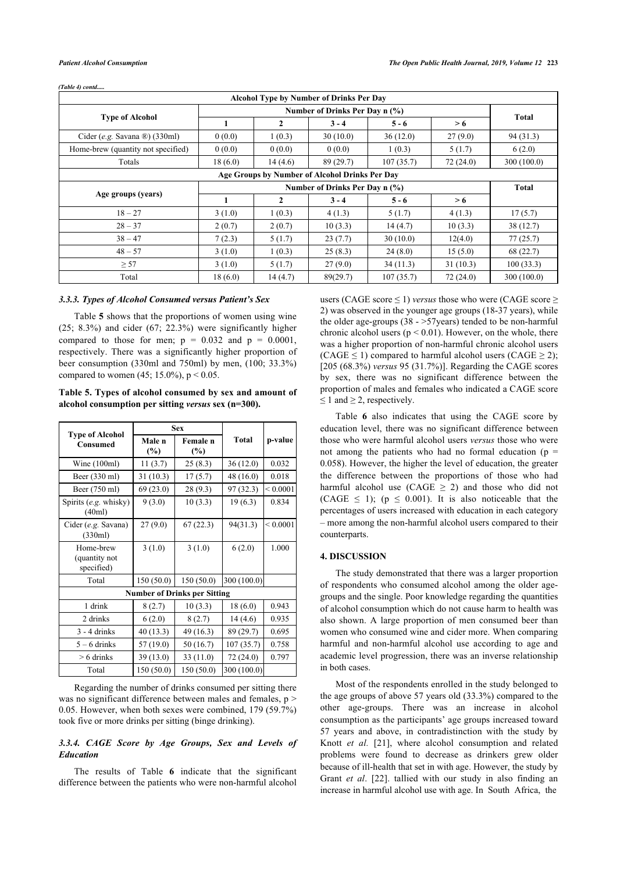|                                           |                                                |              | <b>Alcohol Type by Number of Drinks Per Day</b> |           |          |              |  |  |
|-------------------------------------------|------------------------------------------------|--------------|-------------------------------------------------|-----------|----------|--------------|--|--|
|                                           | Number of Drinks Per Day n (%)                 |              |                                                 |           |          |              |  |  |
| <b>Type of Alcohol</b>                    |                                                | $\mathbf{2}$ | $3 - 4$                                         | $5 - 6$   | > 6      | Total        |  |  |
| Cider (e.g. Savana $\mathbb{B}$ ) (330ml) | 0(0.0)                                         | 1(0.3)       | 30(10.0)                                        | 36(12.0)  | 27(9.0)  | 94(31.3)     |  |  |
| Home-brew (quantity not specified)        | 0(0.0)                                         | 0(0.0)       | 0(0.0)                                          | 1(0.3)    | 5(1.7)   | 6(2.0)       |  |  |
| Totals                                    | 18(6.0)                                        | 14(4.6)      | 89 (29.7)                                       | 107(35.7) | 72(24.0) | 300 (100.0)  |  |  |
|                                           | Age Groups by Number of Alcohol Drinks Per Day |              |                                                 |           |          |              |  |  |
|                                           | Number of Drinks Per Day n (%)                 |              |                                                 |           |          | <b>Total</b> |  |  |
| Age groups (years)                        | 1                                              | $\mathbf{2}$ | $3 - 4$                                         | $5 - 6$   | > 6      |              |  |  |
| $18 - 27$                                 | 3(1.0)                                         | 1(0.3)       | 4(1.3)                                          | 5(1.7)    | 4(1.3)   | 17(5.7)      |  |  |
| $28 - 37$                                 | 2(0.7)                                         | 2(0.7)       | 10(3.3)                                         | 14(4.7)   | 10(3.3)  | 38(12.7)     |  |  |
| $38 - 47$                                 | 7(2.3)                                         | 5(1.7)       | 23(7.7)                                         | 30(10.0)  | 12(4.0)  | 77(25.7)     |  |  |
| $48 - 57$                                 | 3(1.0)                                         | 1(0.3)       | 25(8.3)                                         | 24(8.0)   | 15(5.0)  | 68 (22.7)    |  |  |
| $\geq$ 57                                 | 3(1.0)                                         | 5(1.7)       | 27(9.0)                                         | 34(11.3)  | 31(10.3) | 100(33.3)    |  |  |
| Total                                     | 18(6.0)                                        | 14(4.7)      | 89(29.7)                                        | 107(35.7) | 72(24.0) | 300 (100.0)  |  |  |

*(Table 4) contd.....*

## *3.3.3. Types of Alcohol Consumed versus Patient's Sex*

Table **[5](#page-4-0)** shows that the proportions of women using wine  $(25; 8.3%)$  and cider  $(67; 22.3%)$  were significantly higher compared to those for men;  $p = 0.032$  and  $p = 0.0001$ , respectively. There was a significantly higher proportion of beer consumption (330ml and 750ml) by men, (100; 33.3%) compared to women  $(45; 15.0\%)$ ,  $p < 0.05$ .

<span id="page-4-0"></span>**Table 5. Types of alcohol consumed by sex and amount of alcohol consumption per sitting** *versus* **sex (n=300).**

|                                           |                                        | <b>Sex</b> |              |               |  |  |  |
|-------------------------------------------|----------------------------------------|------------|--------------|---------------|--|--|--|
| <b>Type of Alcohol</b><br><b>Consumed</b> | Male n<br>Female n<br>$(\%)$<br>$(\%)$ |            | <b>Total</b> | p-value       |  |  |  |
| Wine $(100ml)$                            | 11(3.7)                                | 25(8.3)    | 36(12.0)     | 0.032         |  |  |  |
| Beer (330 ml)                             | 31(10.3)                               | 17(5.7)    | 48 (16.0)    | 0.018         |  |  |  |
| Beer (750 ml)                             | 69(23.0)                               | 28 (9.3)   | 97(32.3)     | ${}_{0.0001}$ |  |  |  |
| Spirits (e.g. whisky)<br>(40ml)           | 9(3.0)                                 | 10(3.3)    | 19(6.3)      | 0.834         |  |  |  |
| Cider (e.g. Savana)<br>(330ml)            | 27(9.0)                                | 67(22.3)   | 94(31.3)     | ${}_{0.0001}$ |  |  |  |
| Home-brew<br>(quantity not<br>specified)  | 3(1.0)                                 | 3(1.0)     | 6(2.0)       | 1.000         |  |  |  |
| Total                                     | 150(50.0)                              | 150(50.0)  | 300 (100.0)  |               |  |  |  |
|                                           | <b>Number of Drinks per Sitting</b>    |            |              |               |  |  |  |
| 1 drink                                   | 8(2.7)                                 | 10(3.3)    | 18(6.0)      | 0.943         |  |  |  |
| 2 drinks                                  | 6(2.0)                                 | 8(2.7)     | 14(4.6)      | 0.935         |  |  |  |
| $3 - 4$ drinks                            | 40 (13.3)                              | 49 (16.3)  | 89 (29.7)    | 0.695         |  |  |  |
| $5 - 6$ drinks                            | 57 (19.0)                              | 50(16.7)   | 107(35.7)    | 0.758         |  |  |  |
| $> 6$ drinks                              | 39 (13.0)                              | 33(11.0)   | 72 (24.0)    | 0.797         |  |  |  |
| Total                                     | 150 (50.0)                             | 150(50.0)  | 300 (100.0)  |               |  |  |  |

Regarding the number of drinks consumed per sitting there was no significant difference between males and females,  $p$  > 0.05. However, when both sexes were combined, 179 (59.7%) took five or more drinks per sitting (binge drinking).

## *3.3.4. CAGE Score by Age Groups, Sex and Levels of Education*

<span id="page-4-1"></span>The results of Table**6** indicate that the significant difference between the patients who were non-harmful alcohol

users (CAGE score  $\leq$  1) *versus* those who were (CAGE score  $\geq$ 2) was observed in the younger age groups (18-37 years), while the older age-groups  $(38 - 57$ years) tended to be non-harmful chronic alcohol users ( $p < 0.01$ ). However, on the whole, there was a higher proportion of non-harmful chronic alcohol users (CAGE  $\leq$  1) compared to harmful alcohol users (CAGE  $\geq$  2); [205 (68.3%) *versus* 95 (31.7%)]. Regarding the CAGE scores by sex, there was no significant difference between the proportion of males and females who indicated a CAGE score  $\leq 1$  and  $\geq 2$ , respectively.

Table**6** also indicates that using the CAGE score by education level, there was no significant difference between those who were harmful alcohol users *versus* those who were not among the patients who had no formal education ( $p =$ 0.058). However, the higher the level of education, the greater the difference between the proportions of those who had harmful alcohol use (CAGE  $\geq$  2) and those who did not (CAGE  $\leq$  1); (p  $\leq$  0.001). It is also noticeable that the percentages of users increased with education in each category – more among the non-harmful alcohol users compared to their counterparts.

## **4. DISCUSSION**

The study demonstrated that there was a larger proportion of respondents who consumed alcohol among the older agegroups and the single. Poor knowledge regarding the quantities of alcohol consumption which do not cause harm to health was also shown. A large proportion of men consumed beer than women who consumed wine and cider more. When comparing harmful and non-harmful alcohol use according to age and academic level progression, there was an inverse relationship in both cases.

Most of the respondents enrolled in the study belonged to the age groups of above 57 years old (33.3%) compared to the other age-groups. There was an increase in alcohol consumption as the participants' age groups increased toward 57 years and above, in contradistinction with the study by Knott *et al.* [[21](#page-7-19)], where alcohol consumption and related problems were found to decrease as drinkers grew older because of ill-health that set in with age. However, the study by Grant *et al*.[[22\]](#page-7-20). tallied with our study in also finding an increase in harmful alcohol use with age. In South Africa, the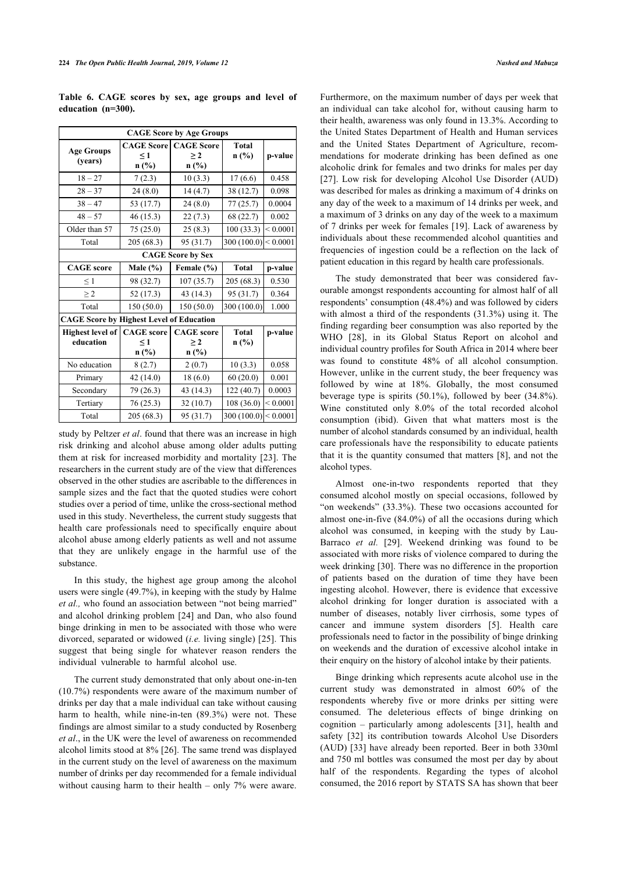**Table 6. CAGE scores by sex, age groups and level of education (n=300).**

| <b>CAGE Score by Age Groups</b>                 |                               |                               |                          |               |  |  |  |  |
|-------------------------------------------------|-------------------------------|-------------------------------|--------------------------|---------------|--|--|--|--|
| <b>Age Groups</b><br>(years)                    | <b>CAGE Score</b><br>$\leq 1$ | <b>CAGE</b> Score<br>$\geq 2$ | Total<br>n(%)            | p-value       |  |  |  |  |
|                                                 | n(%)                          | n (%)                         |                          |               |  |  |  |  |
| $18 - 27$                                       | 7(2.3)                        | 10(3.3)                       | 17(6.6)                  | 0.458         |  |  |  |  |
| $28 - 37$                                       | 24(8.0)                       | 14(4.7)                       | 38 (12.7)                | 0.098         |  |  |  |  |
| $38 - 47$                                       | 53 (17.7)                     | 24(8.0)                       | 77 (25.7)                | 0.0004        |  |  |  |  |
| $48 - 57$                                       | 46 (15.3)                     | 22(7.3)                       | 68 (22.7)                | 0.002         |  |  |  |  |
| Older than 57                                   | 75(25.0)                      | 25(8.3)                       | 100(33.3)                | ${}< 0.0001$  |  |  |  |  |
| Total                                           | 205 (68.3)                    | 95 (31.7)                     | 300 (100.0)              | ${}_{0.0001}$ |  |  |  |  |
|                                                 |                               | <b>CAGE Score by Sex</b>      |                          |               |  |  |  |  |
| <b>CAGE</b> score                               | Male (%)                      | Female (%)                    | <b>Total</b>             | p-value       |  |  |  |  |
| $\leq$ 1                                        | 98 (32.7)                     | 107(35.7)                     | 205 (68.3)               | 0.530         |  |  |  |  |
| $\geq$ 2                                        | 52 (17.3)                     | 43 (14.3)                     | 95 (31.7)                | 0.364         |  |  |  |  |
| Total                                           | 150 (50.0)                    | 150 (50.0)                    | 300 (100.0)              | 1.000         |  |  |  |  |
| <b>CAGE Score by Highest Level of Education</b> |                               |                               |                          |               |  |  |  |  |
| <b>Highest level of</b>                         | <b>CAGE</b> score             | <b>CAGE</b> score             | <b>Total</b>             | p-value       |  |  |  |  |
| education                                       | $\leq 1$                      | $\geq 2$                      | n(%)                     |               |  |  |  |  |
|                                                 | $n$ (%)                       | $n$ (%)                       |                          |               |  |  |  |  |
| No education                                    | 8(2.7)                        | 2(0.7)                        | 10(3.3)                  | 0.058         |  |  |  |  |
| Primary                                         | 42 (14.0)                     | 18(6.0)                       | 60(20.0)                 | 0.001         |  |  |  |  |
| Secondary                                       | 79 (26.3)                     | 43 (14.3)                     | 122 (40.7)               | 0.0003        |  |  |  |  |
| Tertiary                                        | 76 (25.3)                     | 32(10.7)                      | 108 (36.0)               | ${}_{0.0001}$ |  |  |  |  |
| Total                                           | 205 (68.3)                    | 95 (31.7)                     | 300 (100.0) $ $ < 0.0001 |               |  |  |  |  |

study by Peltzer *et al*. found that there was an increase in high risk drinking and alcohol abuse among older adults putting them at risk for increased morbidity and mortality [\[23](#page-7-21)]. The researchers in the current study are of the view that differences observed in the other studies are ascribable to the differences in sample sizes and the fact that the quoted studies were cohort studies over a period of time, unlike the cross-sectional method used in this study. Nevertheless, the current study suggests that health care professionals need to specifically enquire about alcohol abuse among elderly patients as well and not assume that they are unlikely engage in the harmful use of the substance.

In this study, the highest age group among the alcohol users were single (49.7%), in keeping with the study by Halme *et al.,* who found an association between "not being married" and alcohol drinking problem [[24](#page-7-22)] and Dan, who also found binge drinking in men to be associated with those who were divorced, separated or widowed (*i.e.* living single) [\[25\]](#page-7-23). This suggest that being single for whatever reason renders the individual vulnerable to harmful alcohol use.

The current study demonstrated that only about one-in-ten (10.7%) respondents were aware of the maximum number of drinks per day that a male individual can take without causing harm to health, while nine-in-ten (89.3%) were not. These findings are almost similar to a study conducted by Rosenberg *et al*., in the UK were the level of awareness on recommended alcohol limits stood at 8% [[26\]](#page-7-24). The same trend was displayed in the current study on the level of awareness on the maximum number of drinks per day recommended for a female individual without causing harm to their health – only 7% were aware.

Furthermore, on the maximum number of days per week that an individual can take alcohol for, without causing harm to their health, awareness was only found in 13.3%. According to the United States Department of Health and Human services and the United States Department of Agriculture, recommendations for moderate drinking has been defined as one alcoholic drink for females and two drinks for males per day [[27](#page-7-25)]. Low risk for developing Alcohol Use Disorder (AUD) was described for males as drinking a maximum of 4 drinks on any day of the week to a maximum of 14 drinks per week, and a maximum of 3 drinks on any day of the week to a maximum of 7 drinks per week for females [[19](#page-7-17)]. Lack of awareness by individuals about these recommended alcohol quantities and frequencies of ingestion could be a reflection on the lack of patient education in this regard by health care professionals.

The study demonstrated that beer was considered favourable amongst respondents accounting for almost half of all respondents' consumption (48.4%) and was followed by ciders with almost a third of the respondents (31.3%) using it. The finding regarding beer consumption was also reported by the WHO[[28\]](#page-8-0), in its Global Status Report on alcohol and individual country profiles for South Africa in 2014 where beer was found to constitute 48% of all alcohol consumption. However, unlike in the current study, the beer frequency was followed by wine at 18%. Globally, the most consumed beverage type is spirits (50.1%), followed by beer (34.8%). Wine constituted only 8.0% of the total recorded alcohol consumption (ibid). Given that what matters most is the number of alcohol standards consumed by an individual, health care professionals have the responsibility to educate patients that it is the quantity consumed that matters [[8](#page-7-6)], and not the alcohol types.

Almost one-in-two respondents reported that they consumed alcohol mostly on special occasions, followed by "on weekends" (33.3%). These two occasions accounted for almost one-in-five (84.0%) of all the occasions during which alcohol was consumed, in keeping with the study by Lau-Barraco *et al.* [[29\]](#page-8-1). Weekend drinking was found to be associated with more risks of violence compared to during the week drinking [\[30\]](#page-8-2). There was no difference in the proportion of patients based on the duration of time they have been ingesting alcohol. However, there is evidence that excessive alcohol drinking for longer duration is associated with a number of diseases, notably liver cirrhosis, some types of cancer and immune system disorders [\[5](#page-7-3)]. Health care professionals need to factor in the possibility of binge drinking on weekends and the duration of excessive alcohol intake in their enquiry on the history of alcohol intake by their patients.

Binge drinking which represents acute alcohol use in the current study was demonstrated in almost 60% of the respondents whereby five or more drinks per sitting were consumed. The deleterious effects of binge drinking on cognition – particularly among adolescents[[31\]](#page-8-3), health and safety [\[32\]](#page-8-4) its contribution towards Alcohol Use Disorders (AUD) [\[33](#page-8-5)] have already been reported. Beer in both 330ml and 750 ml bottles was consumed the most per day by about half of the respondents. Regarding the types of alcohol consumed, the 2016 report by STATS SA has shown that beer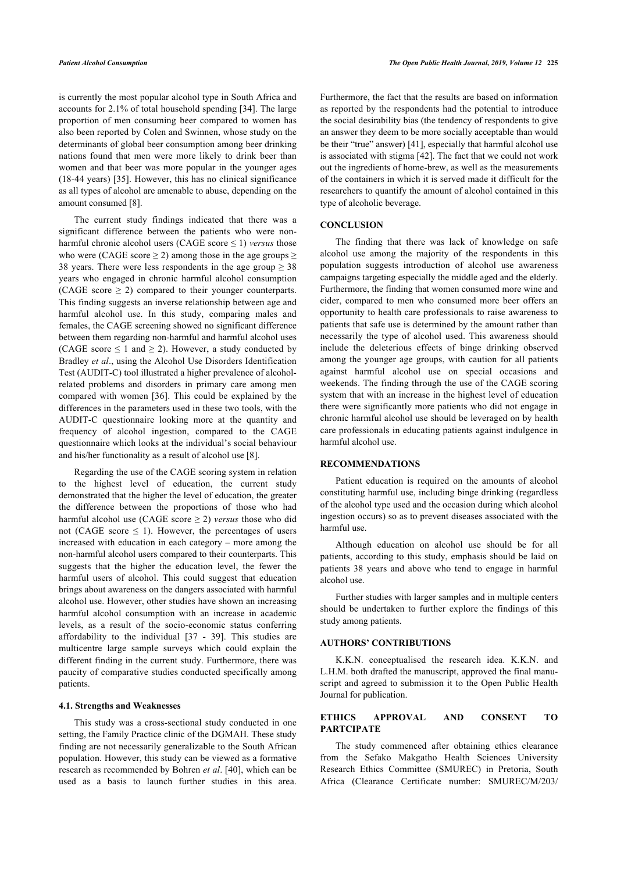is currently the most popular alcohol type in South Africa and accounts for 2.1% of total household spending [\[34](#page-8-6)]. The large proportion of men consuming beer compared to women has also been reported by Colen and Swinnen, whose study on the determinants of global beer consumption among beer drinking nations found that men were more likely to drink beer than women and that beer was more popular in the younger ages (18-44 years) [\[35\]](#page-8-7). However, this has no clinical significance as all types of alcohol are amenable to abuse, depending on the amount consumed [[8](#page-7-6)].

The current study findings indicated that there was a significant difference between the patients who were nonharmful chronic alcohol users (CAGE score  $\leq$  1) *versus* those who were (CAGE score  $\geq$  2) among those in the age groups  $\geq$ 38 years. There were less respondents in the age group  $\geq$  38 years who engaged in chronic harmful alcohol consumption (CAGE score  $\geq$  2) compared to their younger counterparts. This finding suggests an inverse relationship between age and harmful alcohol use. In this study, comparing males and females, the CAGE screening showed no significant difference between them regarding non-harmful and harmful alcohol uses (CAGE score  $\leq 1$  and  $\geq 2$ ). However, a study conducted by Bradley *et al*., using the Alcohol Use Disorders Identification Test (AUDIT-C) tool illustrated a higher prevalence of alcoholrelated problems and disorders in primary care among men compared with women [[36\]](#page-8-8). This could be explained by the differences in the parameters used in these two tools, with the AUDIT-C questionnaire looking more at the quantity and frequency of alcohol ingestion, compared to the CAGE questionnaire which looks at the individual's social behaviour and his/her functionality as a result of alcohol use [[8](#page-7-6)].

Regarding the use of the CAGE scoring system in relation to the highest level of education, the current study demonstrated that the higher the level of education, the greater the difference between the proportions of those who had harmful alcohol use (CAGE score ≥ 2) *versus* those who did not (CAGE score  $\leq$  1). However, the percentages of users increased with education in each category – more among the non-harmful alcohol users compared to their counterparts. This suggests that the higher the education level, the fewer the harmful users of alcohol. This could suggest that education brings about awareness on the dangers associated with harmful alcohol use. However, other studies have shown an increasing harmful alcohol consumption with an increase in academic levels, as a result of the socio-economic status conferring affordability to the individual[[37](#page-8-9) - [39\]](#page-8-10). This studies are multicentre large sample surveys which could explain the different finding in the current study. Furthermore, there was paucity of comparative studies conducted specifically among patients.

### **4.1. Strengths and Weaknesses**

This study was a cross-sectional study conducted in one setting, the Family Practice clinic of the DGMAH. These study finding are not necessarily generalizable to the South African population. However, this study can be viewed as a formative research as recommended by Bohren *et al*. [\[40](#page-8-11)], which can be used as a basis to launch further studies in this area.

Furthermore, the fact that the results are based on information as reported by the respondents had the potential to introduce the social desirability bias (the tendency of respondents to give an answer they deem to be more socially acceptable than would be their "true" answer) [[41\]](#page-8-12), especially that harmful alcohol use is associated with stigma [\[42](#page-8-13)]. The fact that we could not work out the ingredients of home-brew, as well as the measurements of the containers in which it is served made it difficult for the researchers to quantify the amount of alcohol contained in this type of alcoholic beverage.

## **CONCLUSION**

The finding that there was lack of knowledge on safe alcohol use among the majority of the respondents in this population suggests introduction of alcohol use awareness campaigns targeting especially the middle aged and the elderly. Furthermore, the finding that women consumed more wine and cider, compared to men who consumed more beer offers an opportunity to health care professionals to raise awareness to patients that safe use is determined by the amount rather than necessarily the type of alcohol used. This awareness should include the deleterious effects of binge drinking observed among the younger age groups, with caution for all patients against harmful alcohol use on special occasions and weekends. The finding through the use of the CAGE scoring system that with an increase in the highest level of education there were significantly more patients who did not engage in chronic harmful alcohol use should be leveraged on by health care professionals in educating patients against indulgence in harmful alcohol use.

#### **RECOMMENDATIONS**

Patient education is required on the amounts of alcohol constituting harmful use, including binge drinking (regardless of the alcohol type used and the occasion during which alcohol ingestion occurs) so as to prevent diseases associated with the harmful use.

Although education on alcohol use should be for all patients, according to this study, emphasis should be laid on patients 38 years and above who tend to engage in harmful alcohol use.

Further studies with larger samples and in multiple centers should be undertaken to further explore the findings of this study among patients.

## **AUTHORS' CONTRIBUTIONS**

K.K.N. conceptualised the research idea. K.K.N. and L.H.M. both drafted the manuscript, approved the final manuscript and agreed to submission it to the Open Public Health Journal for publication.

## **ETHICS APPROVAL AND CONSENT TO PARTCIPATE**

The study commenced after obtaining ethics clearance from the Sefako Makgatho Health Sciences University Research Ethics Committee (SMUREC) in Pretoria, South Africa (Clearance Certificate number: SMUREC/M/203/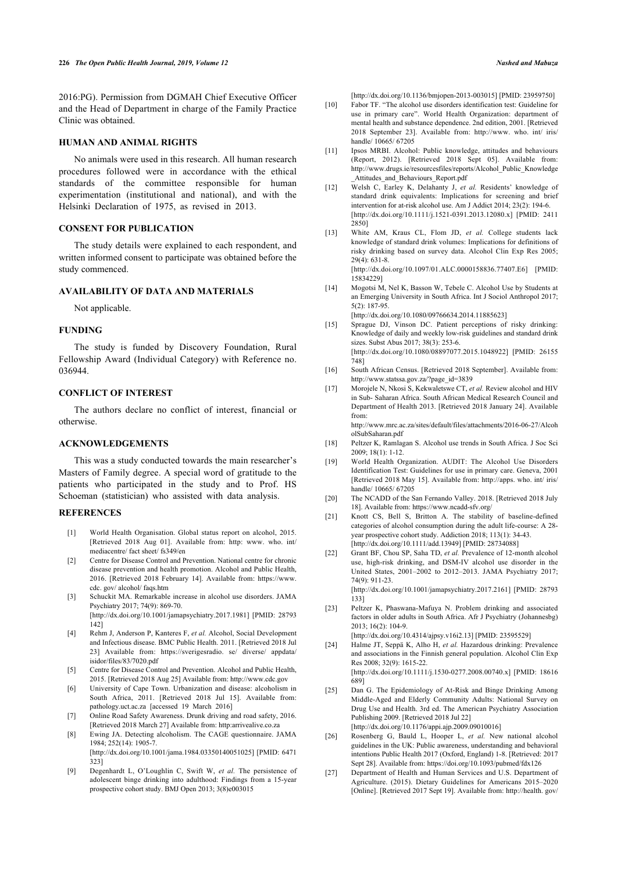<span id="page-7-8"></span>2016:PG). Permission from DGMAH Chief Executive Officer and the Head of Department in charge of the Family Practice Clinic was obtained.

## **HUMAN AND ANIMAL RIGHTS**

<span id="page-7-10"></span><span id="page-7-9"></span>No animals were used in this research. All human research procedures followed were in accordance with the ethical standards of the committee responsible for human experimentation (institutional and national), and with the Helsinki Declaration of 1975, as revised in 2013.

## <span id="page-7-11"></span>**CONSENT FOR PUBLICATION**

The study details were explained to each respondent, and written informed consent to participate was obtained before the study commenced.

## <span id="page-7-12"></span>**AVAILABILITY OF DATA AND MATERIALS**

Not applicable.

### <span id="page-7-13"></span>**FUNDING**

The study is funded by Discovery Foundation, Rural Fellowship Award (Individual Category) with Reference no. 036944.

## <span id="page-7-15"></span><span id="page-7-14"></span>**CONFLICT OF INTEREST**

The authors declare no conflict of interest, financial or otherwise.

#### <span id="page-7-16"></span>**ACKNOWLEDGEMENTS**

<span id="page-7-17"></span>This was a study conducted towards the main researcher's Masters of Family degree. A special word of gratitude to the patients who participated in the study and to Prof. HS Schoeman (statistician) who assisted with data analysis.

#### <span id="page-7-19"></span><span id="page-7-18"></span><span id="page-7-0"></span>**REFERENCES**

- [1] World Health Organisation. Global status report on alcohol, 2015. [Retrieved 2018 Aug 01]. Available from: [http: www. who. int/](http://http:www.who.int/mediacentre/factsheet/fs349/en) [mediacentre/ fact sheet/ fs349/en](http://http:www.who.int/mediacentre/factsheet/fs349/en)
- <span id="page-7-20"></span><span id="page-7-1"></span>[2] Centre for Disease Control and Prevention. National centre for chronic disease prevention and health promotion. Alcohol and Public Health, 2016. [Retrieved 2018 February 14]. Available from: [https://www.](https://www.cdc.gov/alcohol/faqs.htm) [cdc. gov/ alcohol/ faqs.htm](https://www.cdc.gov/alcohol/faqs.htm)
- <span id="page-7-21"></span>[3] Schuckit MA. Remarkable increase in alcohol use disorders. JAMA Psychiatry 2017; 74(9): 869-70.
- [\[http://dx.doi.org/10.1001/jamapsychiatry.2017.1981](http://dx.doi.org/10.1001/jamapsychiatry.2017.1981)] [PMID: [28793](http://www.ncbi.nlm.nih.gov/pubmed/28793%20142) [142](http://www.ncbi.nlm.nih.gov/pubmed/28793%20142)]
- <span id="page-7-22"></span><span id="page-7-2"></span>[4] Rehm J, Anderson P, Kanteres F, *et al.* Alcohol, Social Development and Infectious disease. BMC Public Health. 2011. [Retrieved 2018 Jul 23] Available from: [https://sverigesradio. se/ diverse/ appdata/](https://sverigesradio.se/diverse/appdata/isidor/files/83/7020.pdf) [isidor/files/83/7020.pdf](https://sverigesradio.se/diverse/appdata/isidor/files/83/7020.pdf)
- <span id="page-7-3"></span>[5] Centre for Disease Control and Prevention. Alcohol and Public Health, 2015. [Retrieved 2018 Aug 25] Available from:<http://www.cdc.gov>
- <span id="page-7-23"></span><span id="page-7-4"></span>[6] University of Cape Town. Urbanization and disease: alcoholism in South Africa, 2011. [Retrieved 2018 Jul 15]. Available from: [pathology.uct.ac.za](http://pathology.uct.ac.za) [accessed 19 March 2016]
- <span id="page-7-5"></span>[7] Online Road Safety Awareness. Drunk driving and road safety, 2016. [Retrieved 2018 March 27] Available from: [http:arrivealive.co.za](http://http:arrivealive.co.za)
- <span id="page-7-24"></span><span id="page-7-6"></span>[8] Ewing JA. Detecting alcoholism. The CAGE questionnaire. JAMA 1984; 252(14): 1905-7.

[\[http://dx.doi.org/10.1001/jama.1984.03350140051025\]](http://dx.doi.org/10.1001/jama.1984.03350140051025) [PMID: [6471](http://www.ncbi.nlm.nih.gov/pubmed/6471%20323) [323](http://www.ncbi.nlm.nih.gov/pubmed/6471%20323)]

<span id="page-7-25"></span><span id="page-7-7"></span>[9] Degenhardt L, O'Loughlin C, Swift W, *et al.* The persistence of adolescent binge drinking into adulthood: Findings from a 15-year prospective cohort study. BMJ Open 2013; 3(8)e003015

[\[http://dx.doi.org/10.1136/bmjopen-2013-003015\]](http://dx.doi.org/10.1136/bmjopen-2013-003015) [PMID: [23959750](http://www.ncbi.nlm.nih.gov/pubmed/23959750)]

- [10] Fabor TF. "The alcohol use disorders identification test: Guideline for use in primary care". World Health Organization: department of mental health and substance dependence. 2nd edition, 2001. [Retrieved 2018 September 23]. Available from: [http://www. who. int/ iris/](http://www.who.int/iris/handle/10665/67205) [handle/ 10665/ 67205](http://www.who.int/iris/handle/10665/67205)
- [11] Ipsos MRBI. Alcohol: Public knowledge, attitudes and behaviours (Report, 2012). [Retrieved 2018 Sept 05]. Available from: [http://www.drugs.ie/resourcesfiles/reports/Alcohol\\_Public\\_Knowledge](http://www.drugs.ie/resourcesfiles/reports/Alcohol_Public_Knowledge_Attitudes_and_Behaviours_Report.pdf) Attitudes and Behaviours Report.pdf
- [12] Welsh C, Earley K, Delahanty J, et al. Residents' knowledge of standard drink equivalents: Implications for screening and brief intervention for at-risk alcohol use. Am J Addict 2014; 23(2): 194-6. [\[http://dx.doi.org/10.1111/j.1521-0391.2013.12080.x](http://dx.doi.org/10.1111/j.1521-0391.2013.12080.x)] [PMID: [2411](http://www.ncbi.nlm.nih.gov/pubmed/2411%202850) [2850\]](http://www.ncbi.nlm.nih.gov/pubmed/2411%202850)
- [13] White AM, Kraus CL, Flom JD, et al. College students lack knowledge of standard drink volumes: Implications for definitions of risky drinking based on survey data. Alcohol Clin Exp Res 2005;  $29(4)$ : 631-8. [\[http://dx.doi.org/10.1097/01.ALC.0000158836.77407.E6](http://dx.doi.org/10.1097/01.ALC.0000158836.77407.E6)] [PMID:

[15834229\]](http://www.ncbi.nlm.nih.gov/pubmed/15834229)

[14] Mogotsi M, Nel K, Basson W, Tebele C. Alcohol Use by Students at an Emerging University in South Africa. Int J Sociol Anthropol 2017; 5(2): 187-95.

[\[http://dx.doi.org/10.1080/09766634.2014.11885623\]](http://dx.doi.org/10.1080/09766634.2014.11885623)

- [15] Sprague DJ, Vinson DC. Patient perceptions of risky drinking: Knowledge of daily and weekly low-risk guidelines and standard drink sizes. Subst Abus 2017; 38(3): 253-6. [\[http://dx.doi.org/10.1080/08897077.2015.1048922](http://dx.doi.org/10.1080/08897077.2015.1048922)] [PMID: [26155](http://www.ncbi.nlm.nih.gov/pubmed/26155%20748) [748](http://www.ncbi.nlm.nih.gov/pubmed/26155%20748)]
- [16] South African Census. [Retrieved 2018 September]. Available from: [http://www.statssa.gov.za/?page\\_id=3839](http://www.statssa.gov.za/?page_id=3839)
- [17] Morojele N, Nkosi S, Kekwaletswe CT, *et al.* Review alcohol and HIV in Sub- Saharan Africa. South African Medical Research Council and Department of Health 2013. [Retrieved 2018 January 24]. Available from: [http://www.mrc.ac.za/sites/default/files/attachments/2016-06-27/Alcoh](http://www.mrc.ac.za/sites/default/files/attachments/2016-06-27/AlcoholSubSaharan.pdf)

[olSubSaharan.pdf](http://www.mrc.ac.za/sites/default/files/attachments/2016-06-27/AlcoholSubSaharan.pdf)

- [18] Peltzer K, Ramlagan S. Alcohol use trends in South Africa. J Soc Sci 2009; 18(1): 1-12.
- [19] World Health Organization. AUDIT: The Alcohol Use Disorders Identification Test: Guidelines for use in primary care. Geneva, 2001 [Retrieved 2018 May 15]. Available from: [http://apps. who. int/ iris/](http://apps.who.int/iris/handle/10665/67205) [handle/ 10665/ 67205](http://apps.who.int/iris/handle/10665/67205)
- [20] The NCADD of the San Fernando Valley. 2018. [Retrieved 2018 July 18]. Available from:<https://www.ncadd-sfv.org/>
- [21] Knott CS, Bell S, Britton A. The stability of baseline-defined categories of alcohol consumption during the adult life-course: A 28 year prospective cohort study. Addiction 2018; 113(1): 34-43. [\[http://dx.doi.org/10.1111/add.13949\]](http://dx.doi.org/10.1111/add.13949) [PMID: [28734088](http://www.ncbi.nlm.nih.gov/pubmed/28734088)]
- [22] Grant BF, Chou SP, Saha TD, *et al.* Prevalence of 12-month alcohol use, high-risk drinking, and DSM-IV alcohol use disorder in the United States, 2001–2002 to 2012–2013. JAMA Psychiatry 2017; 74(9): 911-23. [\[http://dx.doi.org/10.1001/jamapsychiatry.2017.2161\]](http://dx.doi.org/10.1001/jamapsychiatry.2017.2161) [PMID: [28793](http://www.ncbi.nlm.nih.gov/pubmed/28793%20133) [133](http://www.ncbi.nlm.nih.gov/pubmed/28793%20133)]
- [23] Peltzer K, Phaswana-Mafuya N. Problem drinking and associated factors in older adults in South Africa. Afr J Psychiatry (Johannesbg) 2013; 16(2): 104-9.

[\[http://dx.doi.org/10.4314/ajpsy.v16i2.13\]](http://dx.doi.org/10.4314/ajpsy.v16i2.13) [PMID: [23595529](http://www.ncbi.nlm.nih.gov/pubmed/23595529)]

[24] Halme JT, Seppä K, Alho H, *et al.* Hazardous drinking: Prevalence and associations in the Finnish general population. Alcohol Clin Exp Res 2008; 32(9): 1615-22. [\[http://dx.doi.org/10.1111/j.1530-0277.2008.00740.x\]](http://dx.doi.org/10.1111/j.1530-0277.2008.00740.x) [PMID: [18616](http://www.ncbi.nlm.nih.gov/pubmed/18616%20689)

[689](http://www.ncbi.nlm.nih.gov/pubmed/18616%20689)]

[25] Dan G. The Epidemiology of At-Risk and Binge Drinking Among Middle-Aged and Elderly Community Adults: National Survey on Drug Use and Health. 3rd ed. The American Psychiatry Association Publishing 2009. [Retrieved 2018 Jul 22] [\[http://dx.doi.org/10.1176/appi.ajp.2009.09010016](http://dx.doi.org/10.1176/appi.ajp.2009.09010016)]

- [26] Rosenberg G, Bauld L, Hooper L, *et al.* New national alcohol guidelines in the UK: Public awareness, understanding and behavioral intentions Public Health 2017 (Oxford, England) 1-8. [Retrieved: 2017 Sept 28]. Available from:<https://doi.org/10.1093/pubmed/fdx126>
- [27] Department of Health and Human Services and U.S. Department of Agriculture. (2015). Dietary Guidelines for Americans 2015–2020 [Online]. [Retrieved 2017 Sept 19]. Available from: [http://health. gov/](http://health.gov/dietaryguidelines/2015/guidelines/)